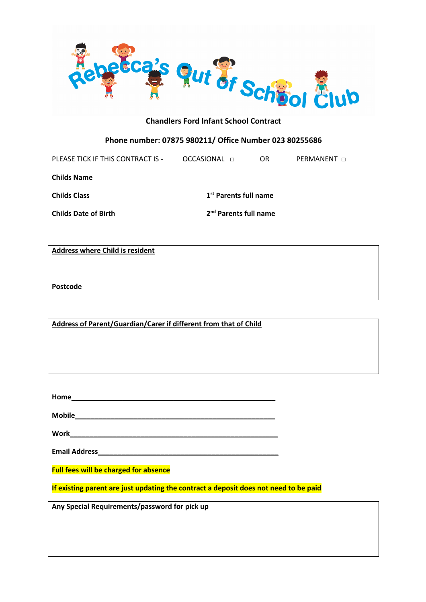

# **Phone number: 07875 980211/ Office Number 023 80255686**

PLEASE TICK IF THIS CONTRACT IS - OCCASIONAL □ OR PERMANENT □

**Childs Name**

**Childs Class 1st Parents full name**

**Childs Date of Birth 2nd Parents full name**

**Address where Child is resident**

**Postcode**

**Address of Parent/Guardian/Carer if different from that of Child**

**Home\_\_\_\_\_\_\_\_\_\_\_\_\_\_\_\_\_\_\_\_\_\_\_\_\_\_\_\_\_\_\_\_\_\_\_\_\_\_\_\_\_\_\_\_\_\_\_\_\_\_\_\_**

**Mobile\_\_\_\_\_\_\_\_\_\_\_\_\_\_\_\_\_\_\_\_\_\_\_\_\_\_\_\_\_\_\_\_\_\_\_\_\_\_\_\_\_\_\_\_\_\_\_\_\_\_\_**

**Work\_\_\_\_\_\_\_\_\_\_\_\_\_\_\_\_\_\_\_\_\_\_\_\_\_\_\_\_\_\_\_\_\_\_\_\_\_\_\_\_\_\_\_\_\_\_\_\_\_\_\_\_\_**

**Email Address\_\_\_\_\_\_\_\_\_\_\_\_\_\_\_\_\_\_\_\_\_\_\_\_\_\_\_\_\_\_\_\_\_\_\_\_\_\_\_\_\_\_\_\_\_\_**

**Full fees will be charged for absence** 

**If existing parent are just updating the contract a deposit does not need to be paid**

**Any Special Requirements/password for pick up**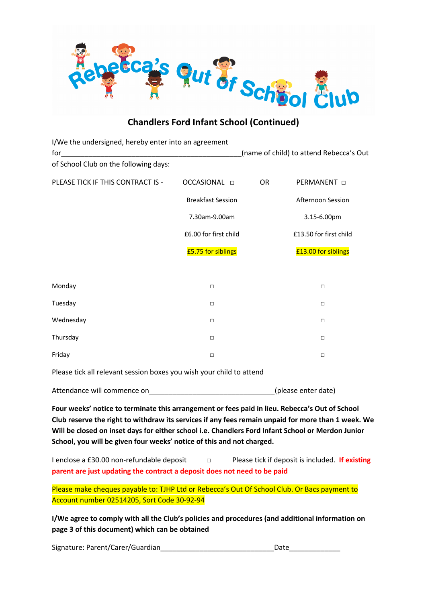

# **Chandlers Ford Infant School (Continued)**

| I/We the undersigned, hereby enter into an agreement<br>for<br>of School Club on the following days: |                          | (name of child) to attend Rebecca's Out |
|------------------------------------------------------------------------------------------------------|--------------------------|-----------------------------------------|
|                                                                                                      |                          |                                         |
| PLEASE TICK IF THIS CONTRACT IS -                                                                    | OCCASIONAL <b>D</b>      | <b>OR</b><br>PERMANENT $\Box$           |
|                                                                                                      | <b>Breakfast Session</b> | Afternoon Session                       |
|                                                                                                      | 7.30am-9.00am            | 3.15-6.00pm                             |
|                                                                                                      | £6.00 for first child    | £13.50 for first child                  |
|                                                                                                      | £5.75 for siblings       | £13.00 for siblings                     |
|                                                                                                      |                          |                                         |
| Monday                                                                                               | $\Box$                   | $\Box$                                  |
| Tuesday                                                                                              | $\Box$                   | $\Box$                                  |
| Wednesday                                                                                            | $\Box$                   | $\Box$                                  |
| Thursday                                                                                             | $\Box$                   | $\Box$                                  |
| Friday                                                                                               | $\Box$                   | $\Box$                                  |

Please tick all relevant session boxes you wish your child to attend

Attendance will commence on example a settlement of the settlement of the settlement of the settlement of the  $($ please enter date)

**Four weeks' notice to terminate this arrangement or fees paid in lieu. Rebecca's Out of School Club reserve the right to withdraw its services if any fees remain unpaid for more than 1 week. We Will be closed on inset days for either school i.e. Chandlers Ford Infant School or Merdon Junior School, you will be given four weeks' notice of this and not charged.**

I enclose a £30.00 non-refundable deposit □ Please tick if deposit is included. **If existing parent are just updating the contract a deposit does not need to be paid**

Please make cheques payable to: TJHP Ltd or Rebecca's Out Of School Club. Or Bacs payment to Account number 02514205, Sort Code 30-92-94

**I/We agree to comply with all the Club's policies and procedures (and additional information on page 3 of this document) which can be obtained** 

Signature: Parent/Carer/Guardian\_\_\_\_\_\_\_\_\_\_\_\_\_\_\_\_\_\_\_\_\_\_\_\_\_\_\_\_\_Date\_\_\_\_\_\_\_\_\_\_\_\_\_